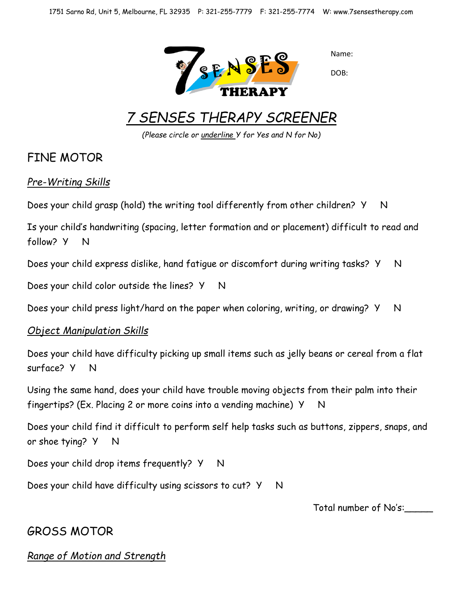

Name:

DOB:

# *7 SENSES THERAPY SCREENER*

*(Please circle or underline Y for Yes and N for No)*

## FINE MOTOR

### *Pre-Writing Skills*

Does your child grasp (hold) the writing tool differently from other children? Y N

Is your child's handwriting (spacing, letter formation and or placement) difficult to read and follow? Y N

Does your child express dislike, hand fatigue or discomfort during writing tasks? Y N

Does your child color outside the lines? Y N

Does your child press light/hard on the paper when coloring, writing, or drawing? Y N

### *Object Manipulation Skills*

Does your child have difficulty picking up small items such as jelly beans or cereal from a flat surface? Y N

Using the same hand, does your child have trouble moving objects from their palm into their fingertips? (Ex. Placing 2 or more coins into a vending machine)  $Y$  N

Does your child find it difficult to perform self help tasks such as buttons, zippers, snaps, and or shoe tying? Y N

Does your child drop items frequently? Y N

Does your child have difficulty using scissors to cut? Y N

Total number of No's:\_\_\_\_\_

# GROSS MOTOR

*Range of Motion and Strength*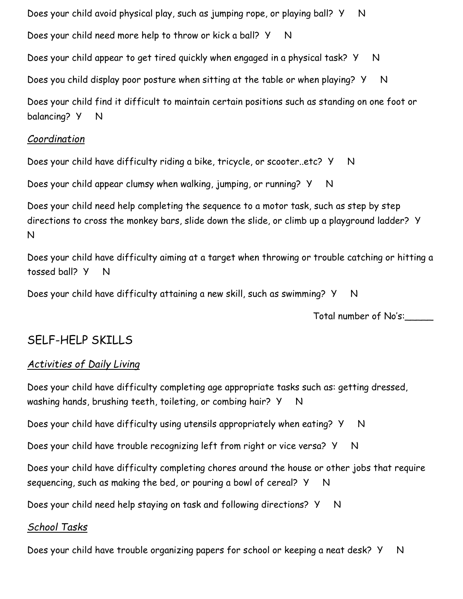Does your child avoid physical play, such as jumping rope, or playing ball? Y N Does your child need more help to throw or kick a ball? Y N Does your child appear to get tired quickly when engaged in a physical task? Y N Does you child display poor posture when sitting at the table or when playing? Y N Does your child find it difficult to maintain certain positions such as standing on one foot or balancing? Y N

### *Coordination*

Does your child have difficulty riding a bike, tricycle, or scooter..etc? Y N

Does your child appear clumsy when walking, jumping, or running? Y N

Does your child need help completing the sequence to a motor task, such as step by step directions to cross the monkey bars, slide down the slide, or climb up a playground ladder? Y N

Does your child have difficulty aiming at a target when throwing or trouble catching or hitting a tossed ball? Y N

Does your child have difficulty attaining a new skill, such as swimming? Y N

Total number of No's:\_\_\_\_\_

# SELF-HELP SKILLS

### *Activities of Daily Living*

Does your child have difficulty completing age appropriate tasks such as: getting dressed, washing hands, brushing teeth, toileting, or combing hair?  $Y \quad N$ 

Does your child have difficulty using utensils appropriately when eating? Y N

Does your child have trouble recognizing left from right or vice versa? Y N

Does your child have difficulty completing chores around the house or other jobs that require sequencing, such as making the bed, or pouring a bowl of cereal?  $Y \cap N$ 

Does your child need help staying on task and following directions? Y N

### *School Tasks*

Does your child have trouble organizing papers for school or keeping a neat desk? Y N